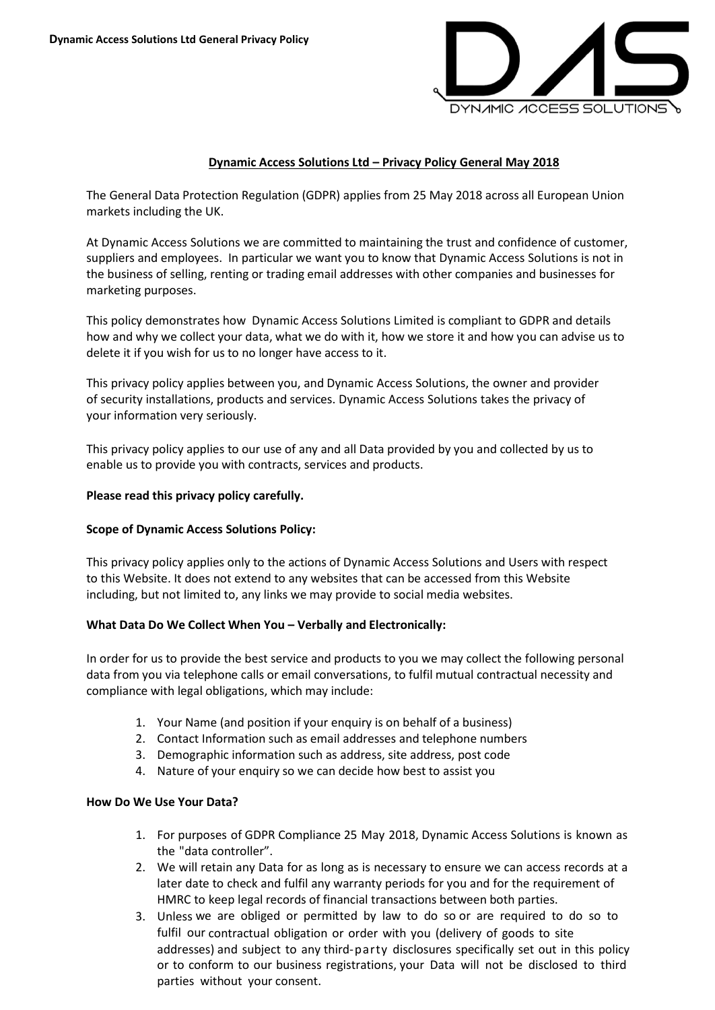

# **Dynamic Access Solutions Ltd – Privacy Policy General May 2018**

The General Data Protection Regulation (GDPR) applies from 25 May 2018 across all European Union markets including the UK.

At Dynamic Access Solutions we are committed to maintaining the trust and confidence of customer, suppliers and employees. In particular we want you to know that Dynamic Access Solutions is not in the business of selling, renting or trading email addresses with other companies and businesses for marketing purposes.

This policy demonstrates how Dynamic Access Solutions Limited is compliant to GDPR and details how and why we collect your data, what we do with it, how we store it and how you can advise us to delete it if you wish for us to no longer have access to it.

This privacy policy applies between you, and Dynamic Access Solutions, the owner and provider of security installations, products and services. Dynamic Access Solutions takes the privacy of your information very seriously.

This privacy policy applies to our use of any and all Data provided by you and collected by us to enable us to provide you with contracts, services and products.

### **Please read this privacy policy carefully.**

### **Scope of Dynamic Access Solutions Policy:**

This privacy policy applies only to the actions of Dynamic Access Solutions and Users with respect to this Website. It does not extend to any websites that can be accessed from this Website including, but not limited to, any links we may provide to social media websites.

### **What Data Do We Collect When You – Verbally and Electronically:**

In order for us to provide the best service and products to you we may collect the following personal data from you via telephone calls or email conversations, to fulfil mutual contractual necessity and compliance with legal obligations, which may include:

- 1. Your Name (and position if your enquiry is on behalf of a business)
- 2. Contact Information such as email addresses and telephone numbers
- 3. Demographic information such as address, site address, post code
- 4. Nature of your enquiry so we can decide how best to assist you

### **How Do We Use Your Data?**

- 1. For purposes of GDPR Compliance 25 May 2018, Dynamic Access Solutions is known as the "data controller".
- 2. We will retain any Data for as long as is necessary to ensure we can access records at a later date to check and fulfil any warranty periods for you and for the requirement of HMRC to keep legal records of financial transactions between both parties.
- 3. Unless we are obliged or permitted by law to do so or are required to do so to fulfil our contractual obligation or order with you (delivery of goods to site addresses) and subject to any third-party disclosures specifically set out in this policy or to conform to our business registrations, your Data will not be disclosed to third parties without your consent.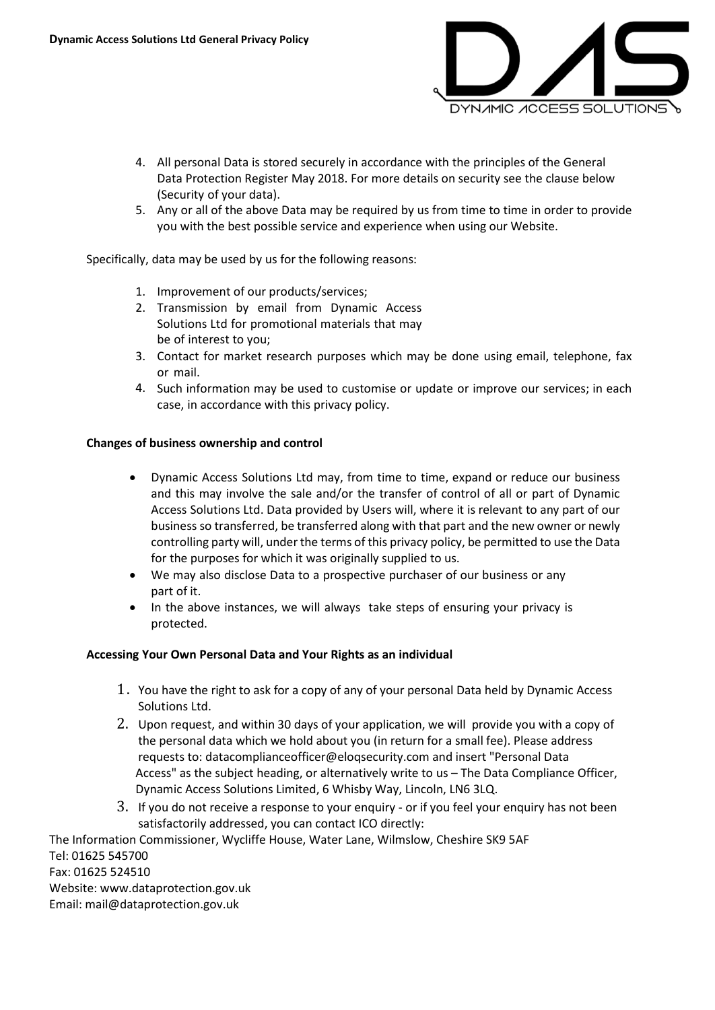

- 4. All personal Data is stored securely in accordance with the principles of the General Data Protection Register May 2018. For more details on security see the clause below (Security of your data).
- 5. Any or all of the above Data may be required by us from time to time in order to provide you with the best possible service and experience when using our Website.

Specifically, data may be used by us for the following reasons:

- 1. Improvement of our products/services;
- 2. Transmission by email from Dynamic Access Solutions Ltd for promotional materials that may be of interest to you;
- 3. Contact for market research purposes which may be done using email, telephone, fax or mail.
- 4. Such information may be used to customise or update or improve our services; in each case, in accordance with this privacy policy.

## **Changes of business ownership and control**

- Dynamic Access Solutions Ltd may, from time to time, expand or reduce our business and this may involve the sale and/or the transfer of control of all or part of Dynamic Access Solutions Ltd. Data provided by Users will, where it is relevant to any part of our business so transferred, be transferred along with that part and the new owner or newly controlling party will, under the terms of this privacy policy, be permitted to use the Data for the purposes for which it was originally supplied to us.
- We may also disclose Data to a prospective purchaser of our business or any part of it.
- In the above instances, we will always take steps of ensuring your privacy is protected.

### **Accessing Your Own Personal Data and Your Rights as an individual**

- 1 . You have the right to ask for a copy of any of your personal Data held by Dynamic Access Solutions Ltd.
- 2. Upon request, and within 30 days of your application, we will provide you with a copy of the personal data which we hold about you (in return for a small fee). Please address requests to: datacomplianceofficer@eloqsecurity.com and insert "Personal Data Access" as the subject heading, or alternatively write to us – The Data Compliance Officer, Dynamic Access Solutions Limited, 6 Whisby Way, Lincoln, LN6 3LQ.
- 3. If you do not receive a response to your enquiry or if you feel your enquiry has not been satisfactorily addressed, you can contact ICO directly:

The Information Commissioner, Wycliffe House, Water Lane, Wilmslow, Cheshire SK9 5AF Tel: 01625 545700 Fax: 01625 524510 Website: www.dataprotection.gov.uk Email: mail@dataprotection.gov.uk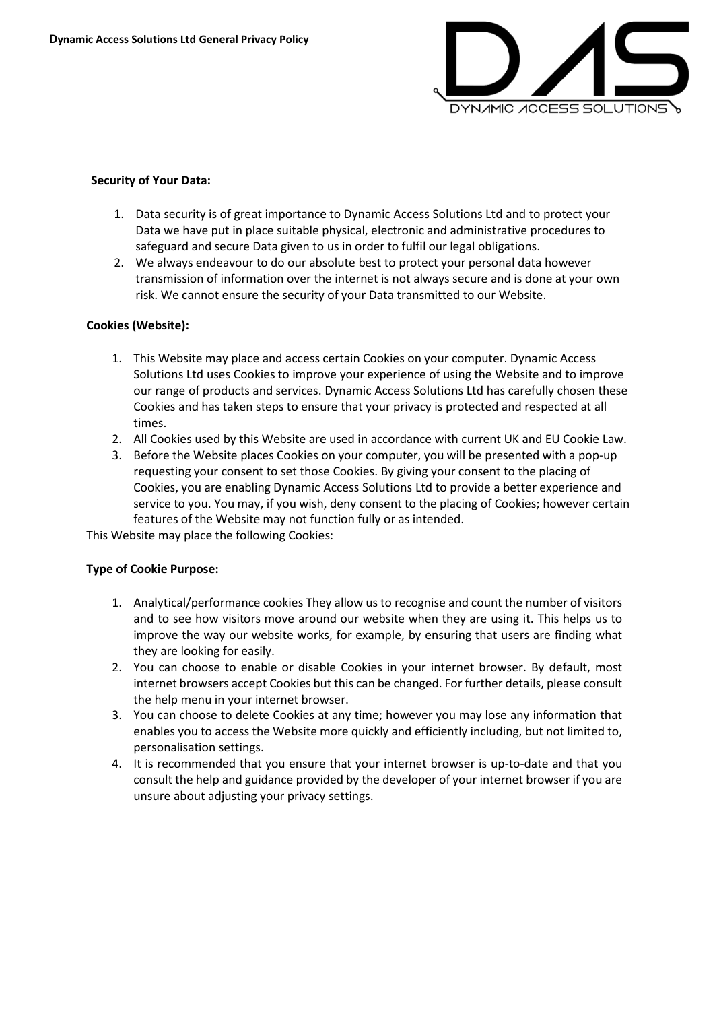

### **Security of Your Data:**

- 1. Data security is of great importance to Dynamic Access Solutions Ltd and to protect your Data we have put in place suitable physical, electronic and administrative procedures to safeguard and secure Data given to us in order to fulfil our legal obligations.
- 2. We always endeavour to do our absolute best to protect your personal data however transmission of information over the internet is not always secure and is done at your own risk. We cannot ensure the security of your Data transmitted to our Website.

## **Cookies (Website):**

- 1. This Website may place and access certain Cookies on your computer. Dynamic Access Solutions Ltd uses Cookies to improve your experience of using the Website and to improve our range of products and services. Dynamic Access Solutions Ltd has carefully chosen these Cookies and has taken steps to ensure that your privacy is protected and respected at all times.
- 2. All Cookies used by this Website are used in accordance with current UK and EU Cookie Law.
- 3. Before the Website places Cookies on your computer, you will be presented with a pop-up requesting your consent to set those Cookies. By giving your consent to the placing of Cookies, you are enabling Dynamic Access Solutions Ltd to provide a better experience and service to you. You may, if you wish, deny consent to the placing of Cookies; however certain features of the Website may not function fully or as intended.

This Website may place the following Cookies:

### **Type of Cookie Purpose:**

- 1. Analytical/performance cookies They allow us to recognise and count the number of visitors and to see how visitors move around our website when they are using it. This helps us to improve the way our website works, for example, by ensuring that users are finding what they are looking for easily.
- 2. You can choose to enable or disable Cookies in your internet browser. By default, most internet browsers accept Cookies but this can be changed. For further details, please consult the help menu in your internet browser.
- 3. You can choose to delete Cookies at any time; however you may lose any information that enables you to access the Website more quickly and efficiently including, but not limited to, personalisation settings.
- 4. It is recommended that you ensure that your internet browser is up-to-date and that you consult the help and guidance provided by the developer of your internet browser if you are unsure about adjusting your privacy settings.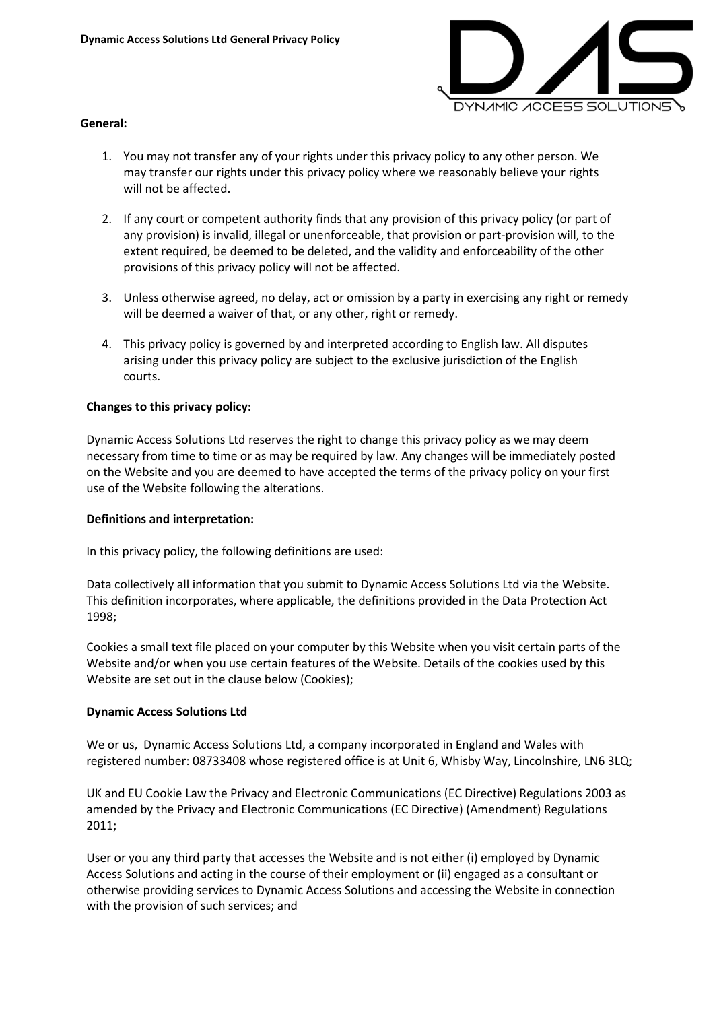

#### **General:**

- 1. You may not transfer any of your rights under this privacy policy to any other person. We may transfer our rights under this privacy policy where we reasonably believe your rights will not be affected.
- 2. If any court or competent authority finds that any provision of this privacy policy (or part of any provision) is invalid, illegal or unenforceable, that provision or part-provision will, to the extent required, be deemed to be deleted, and the validity and enforceability of the other provisions of this privacy policy will not be affected.
- 3. Unless otherwise agreed, no delay, act or omission by a party in exercising any right or remedy will be deemed a waiver of that, or any other, right or remedy.
- 4. This privacy policy is governed by and interpreted according to English law. All disputes arising under this privacy policy are subject to the exclusive jurisdiction of the English courts.

### **Changes to this privacy policy:**

Dynamic Access Solutions Ltd reserves the right to change this privacy policy as we may deem necessary from time to time or as may be required by law. Any changes will be immediately posted on the Website and you are deemed to have accepted the terms of the privacy policy on your first use of the Website following the alterations.

### **Definitions and interpretation:**

In this privacy policy, the following definitions are used:

Data collectively all information that you submit to Dynamic Access Solutions Ltd via the Website. This definition incorporates, where applicable, the definitions provided in the Data Protection Act 1998;

Cookies a small text file placed on your computer by this Website when you visit certain parts of the Website and/or when you use certain features of the Website. Details of the cookies used by this Website are set out in the clause below (Cookies);

### **Dynamic Access Solutions Ltd**

We or us, Dynamic Access Solutions Ltd, a company incorporated in England and Wales with registered number: 08733408 whose registered office is at Unit 6, Whisby Way, Lincolnshire, LN6 3LQ;

UK and EU Cookie Law the Privacy and Electronic Communications (EC Directive) Regulations 2003 as amended by the Privacy and Electronic Communications (EC Directive) (Amendment) Regulations 2011;

User or you any third party that accesses the Website and is not either (i) employed by Dynamic Access Solutions and acting in the course of their employment or (ii) engaged as a consultant or otherwise providing services to Dynamic Access Solutions and accessing the Website in connection with the provision of such services; and